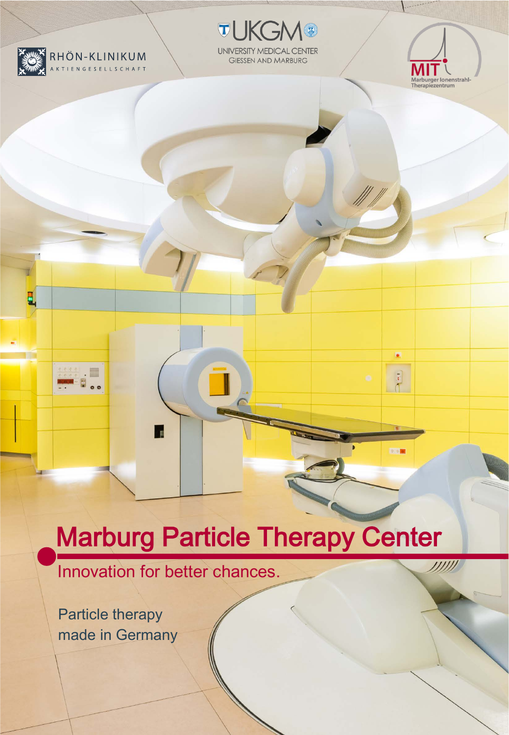

E

**TUKGM®** UNIVERSITY MEDICAL CENTER **GIESSEN AND MARBURG** 



 $\overline{1}$ 

800

 $11111$ 

# Marburg Particle Therapy Center

Innovation for better chances.

'n.

Particle therapy made in Germany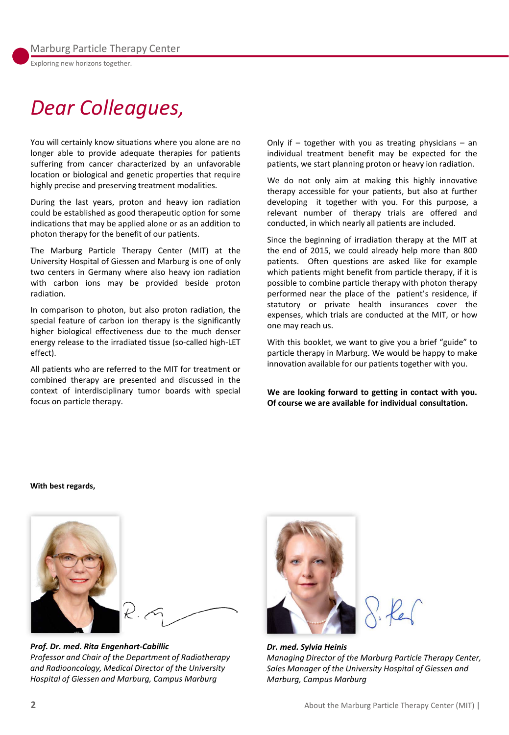*Dear Colleagues,*

You will certainly know situations where you alone are no longer able to provide adequate therapies for patients suffering from cancer characterized by an unfavorable location or biological and genetic properties that require highly precise and preserving treatment modalities.

During the last years, proton and heavy ion radiation could be established as good therapeutic option for some indications that may be applied alone or as an addition to photon therapy for the benefit of our patients.

The Marburg Particle Therapy Center (MIT) at the University Hospital of Giessen and Marburg is one of only two centers in Germany where also heavy ion radiation with carbon ions may be provided beside proton radiation.

In comparison to photon, but also proton radiation, the special feature of carbon ion therapy is the significantly higher biological effectiveness due to the much denser energy release to the irradiated tissue (so-called high-LET effect).

All patients who are referred to the MIT for treatment or combined therapy are presented and discussed in the context of interdisciplinary tumor boards with special focus on particle therapy.

Only if  $-$  together with you as treating physicians  $-$  an individual treatment benefit may be expected for the patients, we start planning proton or heavy ion radiation.

We do not only aim at making this highly innovative therapy accessible for your patients, but also at further developing it together with you. For this purpose, a relevant number of therapy trials are offered and conducted, in which nearly all patients are included.

Since the beginning of irradiation therapy at the MIT at the end of 2015, we could already help more than 800 patients. Often questions are asked like for example which patients might benefit from particle therapy, if it is possible to combine particle therapy with photon therapy performed near the place of the patient's residence, if statutory or private health insurances cover the expenses, which trials are conducted at the MIT, or how one may reach us.

With this booklet, we want to give you a brief "guide" to particle therapy in Marburg. We would be happy to make innovation available for our patients together with you.

**We are looking forward to getting in contact with you. Of course we are available for individual consultation.**

**With best regards,**



*Prof. Dr. med. Rita Engenhart-Cabillic Professor and Chair of the Department of Radiotherapy and Radiooncology, Medical Director of the University Hospital of Giessen and Marburg, Campus Marburg*



 $ReC$ 

*Dr. med. Sylvia Heinis Managing Director of the Marburg Particle Therapy Center, Sales Manager of the University Hospital of Giessen and Marburg, Campus Marburg*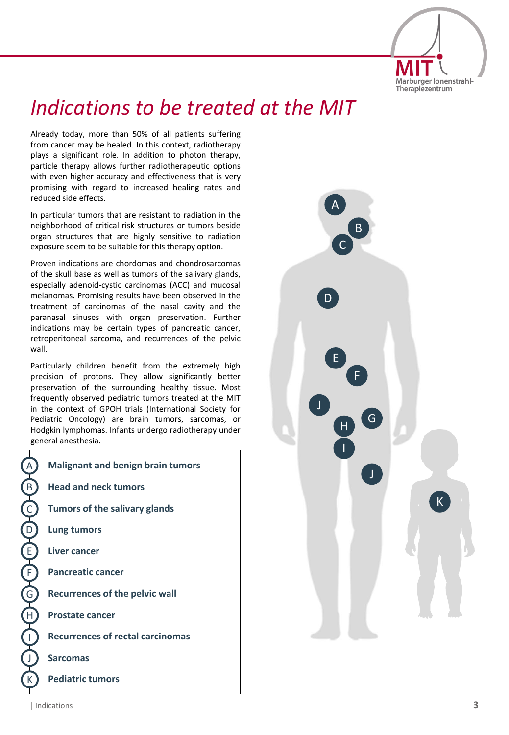

## *Indications to be treated at the MIT*

Already today, more than 50% of all patients suffering from cancer may be healed. In this context, radiotherapy plays a significant role. In addition to photon therapy, particle therapy allows further radiotherapeutic options with even higher accuracy and effectiveness that is very promising with regard to increased healing rates and reduced side effects.

In particular tumors that are resistant to radiation in the neighborhood of critical risk structures or tumors beside organ structures that are highly sensitive to radiation exposure seem to be suitable for this therapy option.

Proven indications are chordomas and chondrosarcomas of the skull base as well as tumors of the salivary glands, especially adenoid-cystic carcinomas (ACC) and mucosal melanomas. Promising results have been observed in the treatment of carcinomas of the nasal cavity and the paranasal sinuses with organ preservation. Further indications may be certain types of pancreatic cancer, retroperitoneal sarcoma, and recurrences of the pelvic wall.

Particularly children benefit from the extremely high precision of protons. They allow significantly better preservation of the surrounding healthy tissue. Most frequently observed pediatric tumors treated at the MIT in the context of GPOH trials (International Society for Pediatric Oncology) are brain tumors, sarcomas, or Hodgkin lymphomas. Infants undergo radiotherapy under general anesthesia.

|   | <b>Malignant and benign brain tumors</b> |
|---|------------------------------------------|
|   | <b>Head and neck tumors</b>              |
|   | Tumors of the salivary glands            |
|   | Lung tumors                              |
| ) | Liver cancer                             |
|   | <b>Pancreatic cancer</b>                 |
|   | <b>Recurrences of the pelvic wall</b>    |
|   | <b>Prostate cancer</b>                   |
|   | <b>Recurrences of rectal carcinomas</b>  |
|   | <b>Sarcomas</b>                          |
|   | <b>Pediatric tumors</b>                  |



A

B

C

D

E

F

G

H

I

J

K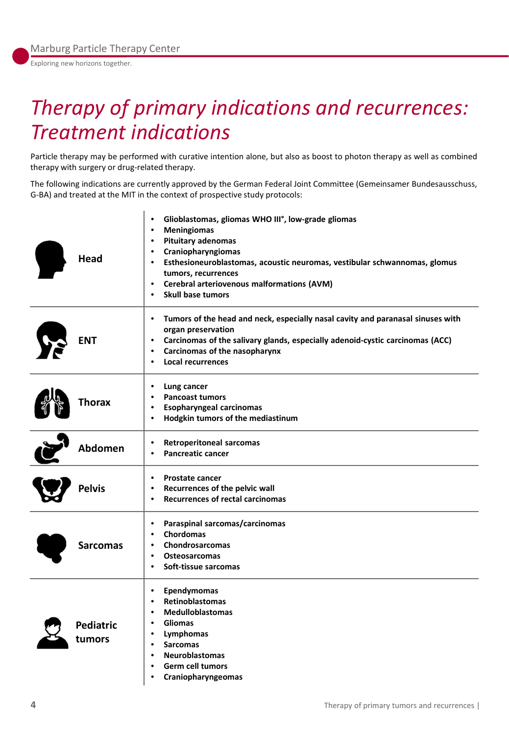Exploring new horizons together.

## *Therapy of primary indications and recurrences: Treatment indications*

Particle therapy may be performed with curative intention alone, but also as boost to photon therapy as well as combined therapy with surgery or drug-related therapy.

The following indications are currently approved by the German Federal Joint Committee (Gemeinsamer Bundesausschuss, G-BA) and treated at the MIT in the context of prospective study protocols:

| Head                       | Glioblastomas, gliomas WHO III°, low-grade gliomas<br>$\bullet$<br><b>Meningiomas</b><br>$\bullet$<br><b>Pituitary adenomas</b><br>$\bullet$<br>Craniopharyngiomas<br>$\bullet$<br>Esthesioneuroblastomas, acoustic neuromas, vestibular schwannomas, glomus<br>$\bullet$<br>tumors, recurrences<br><b>Cerebral arteriovenous malformations (AVM)</b><br>$\bullet$<br><b>Skull base tumors</b><br>$\bullet$ |
|----------------------------|-------------------------------------------------------------------------------------------------------------------------------------------------------------------------------------------------------------------------------------------------------------------------------------------------------------------------------------------------------------------------------------------------------------|
| <b>ENT</b>                 | Tumors of the head and neck, especially nasal cavity and paranasal sinuses with<br>٠<br>organ preservation<br>Carcinomas of the salivary glands, especially adenoid-cystic carcinomas (ACC)<br>٠<br><b>Carcinomas of the nasopharynx</b><br>$\bullet$<br><b>Local recurrences</b><br>$\bullet$                                                                                                              |
| Thorax                     | Lung cancer<br>$\bullet$<br><b>Pancoast tumors</b><br><b>Esopharyngeal carcinomas</b><br>$\bullet$<br>Hodgkin tumors of the mediastinum<br>$\bullet$                                                                                                                                                                                                                                                        |
| Abdomen                    | <b>Retroperitoneal sarcomas</b><br>$\bullet$<br><b>Pancreatic cancer</b><br>٠                                                                                                                                                                                                                                                                                                                               |
| <b>Pelvis</b>              | Prostate cancer<br>٠<br>Recurrences of the pelvic wall<br>$\bullet$<br><b>Recurrences of rectal carcinomas</b><br>$\bullet$                                                                                                                                                                                                                                                                                 |
| <b>Sarcomas</b>            | Paraspinal sarcomas/carcinomas<br>$\bullet$<br>Chordomas<br>٠<br><b>Chondrosarcomas</b><br>Osteosarcomas<br>$\bullet$<br>Soft-tissue sarcomas<br>$\bullet$                                                                                                                                                                                                                                                  |
| <b>Pediatric</b><br>tumors | Ependymomas<br>$\bullet$<br><b>Retinoblastomas</b><br>$\bullet$<br><b>Medulloblastomas</b><br>$\bullet$<br><b>Gliomas</b><br>$\bullet$<br>Lymphomas<br>$\bullet$<br><b>Sarcomas</b><br>$\bullet$<br><b>Neuroblastomas</b><br>$\bullet$<br><b>Germ cell tumors</b><br>$\bullet$<br>Craniopharyngeomas<br>$\bullet$                                                                                           |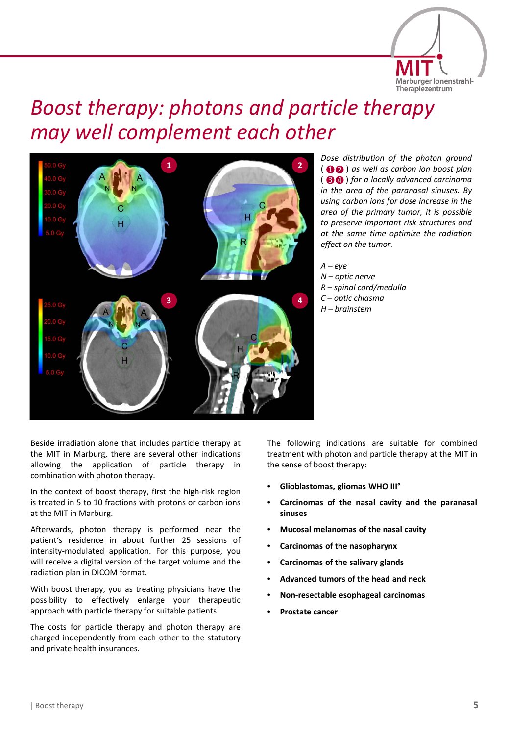

### *Boost therapy: photons and particle therapy may well complement each other*



*Dose distribution of the photon ground* () *as well as carbon ion boost plan* 1 2 ( **<sup>80</sup>** ) for a locally advanced carcinoma *in the area of the paranasal sinuses. By using carbon ions for dose increase in the area of the primary tumor, it is possible to preserve important risk structures and at the same time optimize the radiation effect on the tumor.*

*A – eye N – optic nerve R – spinal cord/medulla C – optic chiasma H – brainstem*

Beside irradiation alone that includes particle therapy at the MIT in Marburg, there are several other indications allowing the application of particle therapy in combination with photon therapy.

In the context of boost therapy, first the high-risk region is treated in 5 to 10 fractions with protons or carbon ions at the MIT in Marburg.

Afterwards, photon therapy is performed near the patient's residence in about further 25 sessions of intensity-modulated application. For this purpose, you will receive a digital version of the target volume and the radiation plan in DICOM format.

With boost therapy, you as treating physicians have the possibility to effectively enlarge your therapeutic approach with particle therapy for suitable patients.

The costs for particle therapy and photon therapy are charged independently from each other to the statutory and private health insurances.

The following indications are suitable for combined treatment with photon and particle therapy at the MIT in the sense of boost therapy:

- **Glioblastomas, gliomas WHO III°**
- **Carcinomas of the nasal cavity and the paranasal sinuses**
- **Mucosal melanomas of the nasal cavity**
- **Carcinomas of the nasopharynx**
- **Carcinomas of the salivary glands**
- **Advanced tumors of the head and neck**
- **Non-resectable esophageal carcinomas**
- **Prostate cancer**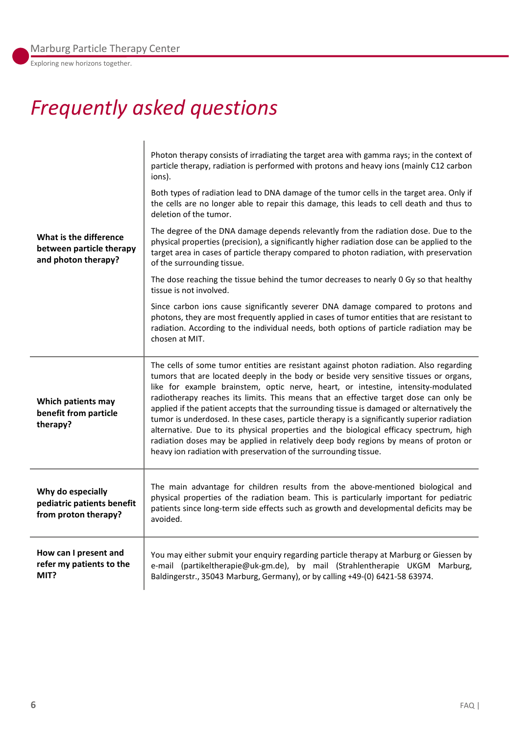Exploring new horizons together.

## *Frequently asked questions*

| What is the difference                                                  | Photon therapy consists of irradiating the target area with gamma rays; in the context of<br>particle therapy, radiation is performed with protons and heavy ions (mainly C12 carbon<br>ions).<br>Both types of radiation lead to DNA damage of the tumor cells in the target area. Only if<br>the cells are no longer able to repair this damage, this leads to cell death and thus to<br>deletion of the tumor.<br>The degree of the DNA damage depends relevantly from the radiation dose. Due to the<br>physical properties (precision), a significantly higher radiation dose can be applied to the                                                                                                                                                                                                           |
|-------------------------------------------------------------------------|--------------------------------------------------------------------------------------------------------------------------------------------------------------------------------------------------------------------------------------------------------------------------------------------------------------------------------------------------------------------------------------------------------------------------------------------------------------------------------------------------------------------------------------------------------------------------------------------------------------------------------------------------------------------------------------------------------------------------------------------------------------------------------------------------------------------|
| between particle therapy<br>and photon therapy?                         | target area in cases of particle therapy compared to photon radiation, with preservation<br>of the surrounding tissue.<br>The dose reaching the tissue behind the tumor decreases to nearly 0 Gy so that healthy<br>tissue is not involved.                                                                                                                                                                                                                                                                                                                                                                                                                                                                                                                                                                        |
|                                                                         | Since carbon ions cause significantly severer DNA damage compared to protons and<br>photons, they are most frequently applied in cases of tumor entities that are resistant to<br>radiation. According to the individual needs, both options of particle radiation may be<br>chosen at MIT.                                                                                                                                                                                                                                                                                                                                                                                                                                                                                                                        |
| Which patients may<br>benefit from particle<br>therapy?                 | The cells of some tumor entities are resistant against photon radiation. Also regarding<br>tumors that are located deeply in the body or beside very sensitive tissues or organs,<br>like for example brainstem, optic nerve, heart, or intestine, intensity-modulated<br>radiotherapy reaches its limits. This means that an effective target dose can only be<br>applied if the patient accepts that the surrounding tissue is damaged or alternatively the<br>tumor is underdosed. In these cases, particle therapy is a significantly superior radiation<br>alternative. Due to its physical properties and the biological efficacy spectrum, high<br>radiation doses may be applied in relatively deep body regions by means of proton or<br>heavy ion radiation with preservation of the surrounding tissue. |
| Why do especially<br>pediatric patients benefit<br>from proton therapy? | The main advantage for children results from the above-mentioned biological and<br>physical properties of the radiation beam. This is particularly important for pediatric<br>patients since long-term side effects such as growth and developmental deficits may be<br>avoided.                                                                                                                                                                                                                                                                                                                                                                                                                                                                                                                                   |
| How can I present and<br>refer my patients to the<br>MIT?               | You may either submit your enquiry regarding particle therapy at Marburg or Giessen by<br>e-mail (partikeltherapie@uk-gm.de), by mail (Strahlentherapie UKGM Marburg,<br>Baldingerstr., 35043 Marburg, Germany), or by calling +49-(0) 6421-58 63974.                                                                                                                                                                                                                                                                                                                                                                                                                                                                                                                                                              |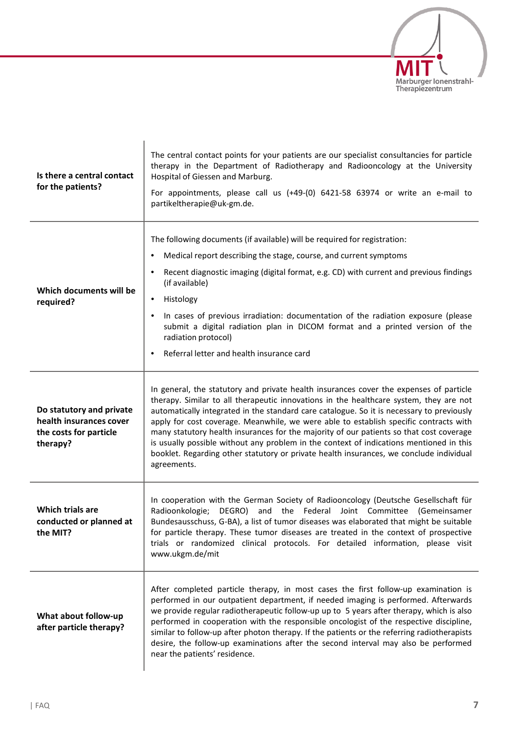

| Is there a central contact<br>for the patients?                                           | The central contact points for your patients are our specialist consultancies for particle<br>therapy in the Department of Radiotherapy and Radiooncology at the University<br>Hospital of Giessen and Marburg.<br>For appointments, please call us (+49-(0) 6421-58 63974 or write an e-mail to<br>partikeltherapie@uk-gm.de.                                                                                                                                                                                                                                                                                                                                         |
|-------------------------------------------------------------------------------------------|------------------------------------------------------------------------------------------------------------------------------------------------------------------------------------------------------------------------------------------------------------------------------------------------------------------------------------------------------------------------------------------------------------------------------------------------------------------------------------------------------------------------------------------------------------------------------------------------------------------------------------------------------------------------|
| Which documents will be<br>required?                                                      | The following documents (if available) will be required for registration:<br>Medical report describing the stage, course, and current symptoms<br>Recent diagnostic imaging (digital format, e.g. CD) with current and previous findings<br>(if available)<br>Histology<br>$\bullet$<br>In cases of previous irradiation: documentation of the radiation exposure (please<br>٠<br>submit a digital radiation plan in DICOM format and a printed version of the<br>radiation protocol)<br>Referral letter and health insurance card<br>٠                                                                                                                                |
| Do statutory and private<br>health insurances cover<br>the costs for particle<br>therapy? | In general, the statutory and private health insurances cover the expenses of particle<br>therapy. Similar to all therapeutic innovations in the healthcare system, they are not<br>automatically integrated in the standard care catalogue. So it is necessary to previously<br>apply for cost coverage. Meanwhile, we were able to establish specific contracts with<br>many statutory health insurances for the majority of our patients so that cost coverage<br>is usually possible without any problem in the context of indications mentioned in this<br>booklet. Regarding other statutory or private health insurances, we conclude individual<br>agreements. |
| Which trials are<br>conducted or planned at<br>the MIT?                                   | In cooperation with the German Society of Radiooncology (Deutsche Gesellschaft für<br>the Federal Joint Committee (Gemeinsamer<br>Radioonkologie;<br>DEGRO)<br>and<br>Bundesausschuss, G-BA), a list of tumor diseases was elaborated that might be suitable<br>for particle therapy. These tumor diseases are treated in the context of prospective<br>trials or randomized clinical protocols. For detailed information, please visit<br>www.ukgm.de/mit                                                                                                                                                                                                             |
| What about follow-up<br>after particle therapy?                                           | After completed particle therapy, in most cases the first follow-up examination is<br>performed in our outpatient department, if needed imaging is performed. Afterwards<br>we provide regular radiotherapeutic follow-up up to 5 years after therapy, which is also<br>performed in cooperation with the responsible oncologist of the respective discipline,<br>similar to follow-up after photon therapy. If the patients or the referring radiotherapists<br>desire, the follow-up examinations after the second interval may also be performed<br>near the patients' residence.                                                                                   |